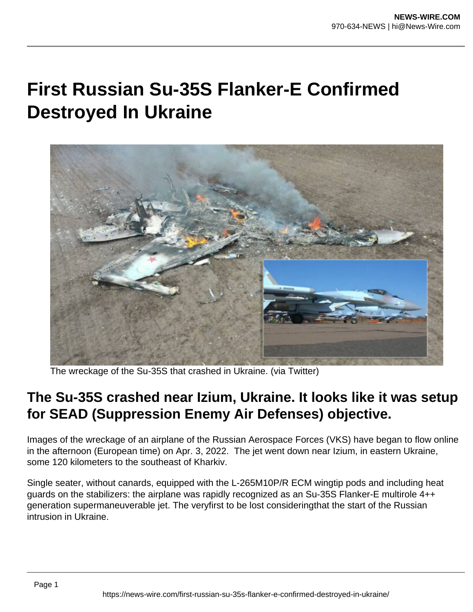## **First Russian Su-35S Flanker-E Confirmed Destroyed In Ukraine**



The wreckage of the Su-35S that crashed in Ukraine. (via Twitter)

## **The Su-35S crashed near Izium, Ukraine. It looks like it was setup for SEAD (Suppression Enemy Air Defenses) objective.**

Images of the wreckage of an airplane of the Russian Aerospace Forces (VKS) have began to flow online in the afternoon (European time) on Apr. 3, 2022. The jet went down near Izium, in eastern Ukraine, some 120 kilometers to the southeast of Kharkiv.

Single seater, without canards, equipped with the L-265M10P/R ECM wingtip pods and including heat guards on the stabilizers: the airplane was rapidly recognized as an Su-35S Flanker-E multirole 4++ generation supermaneuverable jet. The veryfirst to be lost consideringthat the start of the Russian intrusion in Ukraine.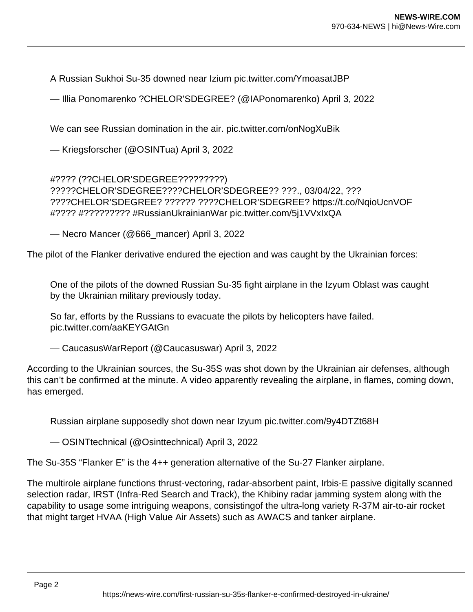A Russian Sukhoi Su-35 downed near Izium pic.twitter.com/YmoasatJBP

— Illia Ponomarenko ?CHELOR'SDEGREE? (@IAPonomarenko) April 3, 2022

We can see Russian domination in the air. pic.twitter.com/onNogXuBik

— Kriegsforscher (@OSINTua) April 3, 2022

#???? (??CHELOR'SDEGREE?????????) ?????CHELOR'SDEGREE????CHELOR'SDEGREE?? ???., 03/04/22, ??? ????CHELOR'SDEGREE? ?????? ????CHELOR'SDEGREE? https://t.co/NqioUcnVOF #???? #????????? #RussianUkrainianWar pic.twitter.com/5j1VVxIxQA

— Necro Mancer (@666\_mancer) April 3, 2022

The pilot of the Flanker derivative endured the ejection and was caught by the Ukrainian forces:

One of the pilots of the downed Russian Su-35 fight airplane in the Izyum Oblast was caught by the Ukrainian military previously today.

So far, efforts by the Russians to evacuate the pilots by helicopters have failed. pic.twitter.com/aaKEYGAtGn

— CaucasusWarReport (@Caucasuswar) April 3, 2022

According to the Ukrainian sources, the Su-35S was shot down by the Ukrainian air defenses, although this can't be confirmed at the minute. A video apparently revealing the airplane, in flames, coming down, has emerged.

Russian airplane supposedly shot down near Izyum pic.twitter.com/9y4DTZt68H

— OSINTtechnical (@Osinttechnical) April 3, 2022

The Su-35S "Flanker E" is the 4++ generation alternative of the Su-27 Flanker airplane.

The multirole airplane functions thrust-vectoring, radar-absorbent paint, Irbis-E passive digitally scanned selection radar, IRST (Infra-Red Search and Track), the Khibiny radar jamming system along with the capability to usage some intriguing weapons, consistingof the ultra-long variety R-37M air-to-air rocket that might target HVAA (High Value Air Assets) such as AWACS and tanker airplane.